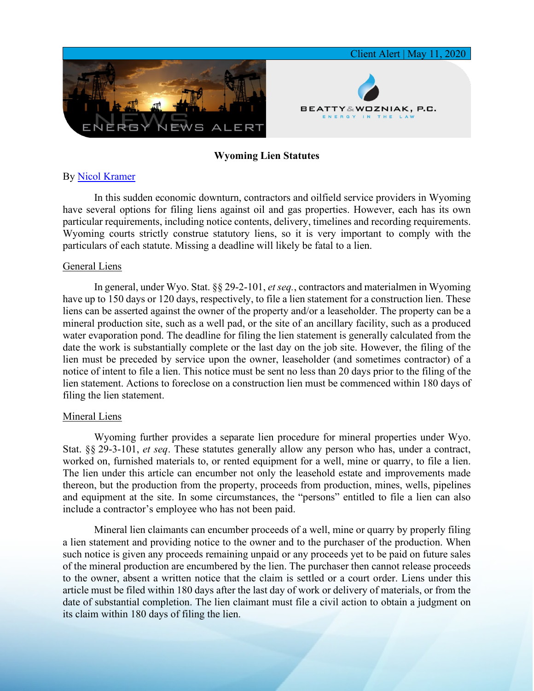

## **Wyoming Lien Statutes**

## By [Nicol Kramer](https://www.bwenergylaw.com/nicol-kramer)

In this sudden economic downturn, contractors and oilfield service providers in Wyoming have several options for filing liens against oil and gas properties. However, each has its own particular requirements, including notice contents, delivery, timelines and recording requirements. Wyoming courts strictly construe statutory liens, so it is very important to comply with the particulars of each statute. Missing a deadline will likely be fatal to a lien.

## General Liens

In general, under Wyo. Stat. §§ 29-2-101, *et seq.*, contractors and materialmen in Wyoming have up to 150 days or 120 days, respectively, to file a lien statement for a construction lien. These liens can be asserted against the owner of the property and/or a leaseholder. The property can be a mineral production site, such as a well pad, or the site of an ancillary facility, such as a produced water evaporation pond. The deadline for filing the lien statement is generally calculated from the date the work is substantially complete or the last day on the job site. However, the filing of the lien must be preceded by service upon the owner, leaseholder (and sometimes contractor) of a notice of intent to file a lien. This notice must be sent no less than 20 days prior to the filing of the lien statement. Actions to foreclose on a construction lien must be commenced within 180 days of filing the lien statement.

## Mineral Liens

Wyoming further provides a separate lien procedure for mineral properties under Wyo. Stat. §§ 29-3-101, *et seq*. These statutes generally allow any person who has, under a contract, worked on, furnished materials to, or rented equipment for a well, mine or quarry, to file a lien. The lien under this article can encumber not only the leasehold estate and improvements made thereon, but the production from the property, proceeds from production, mines, wells, pipelines and equipment at the site. In some circumstances, the "persons" entitled to file a lien can also include a contractor's employee who has not been paid.

Mineral lien claimants can encumber proceeds of a well, mine or quarry by properly filing a lien statement and providing notice to the owner and to the purchaser of the production. When such notice is given any proceeds remaining unpaid or any proceeds yet to be paid on future sales of the mineral production are encumbered by the lien. The purchaser then cannot release proceeds to the owner, absent a written notice that the claim is settled or a court order. Liens under this article must be filed within 180 days after the last day of work or delivery of materials, or from the date of substantial completion. The lien claimant must file a civil action to obtain a judgment on its claim within 180 days of filing the lien.